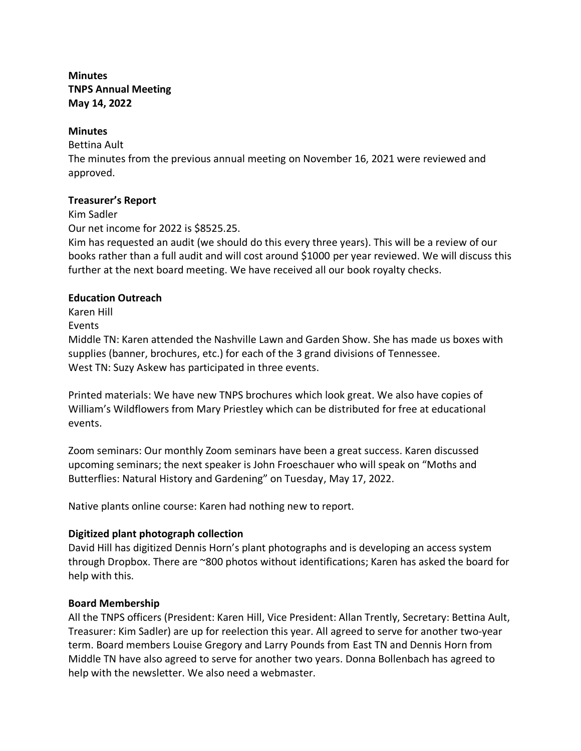# **Minutes TNPS Annual Meeting May 14, 2022**

#### **Minutes**

Bettina Ault

The minutes from the previous annual meeting on November 16, 2021 were reviewed and approved.

### **Treasurer's Report**

Kim Sadler

Our net income for 2022 is \$8525.25.

Kim has requested an audit (we should do this every three years). This will be a review of our books rather than a full audit and will cost around \$1000 per year reviewed. We will discuss this further at the next board meeting. We have received all our book royalty checks.

### **Education Outreach**

Karen Hill

Events

Middle TN: Karen attended the Nashville Lawn and Garden Show. She has made us boxes with supplies (banner, brochures, etc.) for each of the 3 grand divisions of Tennessee. West TN: Suzy Askew has participated in three events.

Printed materials: We have new TNPS brochures which look great. We also have copies of William's Wildflowers from Mary Priestley which can be distributed for free at educational events.

Zoom seminars: Our monthly Zoom seminars have been a great success. Karen discussed upcoming seminars; the next speaker is John Froeschauer who will speak on "Moths and Butterflies: Natural History and Gardening" on Tuesday, May 17, 2022.

Native plants online course: Karen had nothing new to report.

# **Digitized plant photograph collection**

David Hill has digitized Dennis Horn's plant photographs and is developing an access system through Dropbox. There are ~800 photos without identifications; Karen has asked the board for help with this.

# **Board Membership**

All the TNPS officers (President: Karen Hill, Vice President: Allan Trently, Secretary: Bettina Ault, Treasurer: Kim Sadler) are up for reelection this year. All agreed to serve for another two-year term. Board members Louise Gregory and Larry Pounds from East TN and Dennis Horn from Middle TN have also agreed to serve for another two years. Donna Bollenbach has agreed to help with the newsletter. We also need a webmaster.